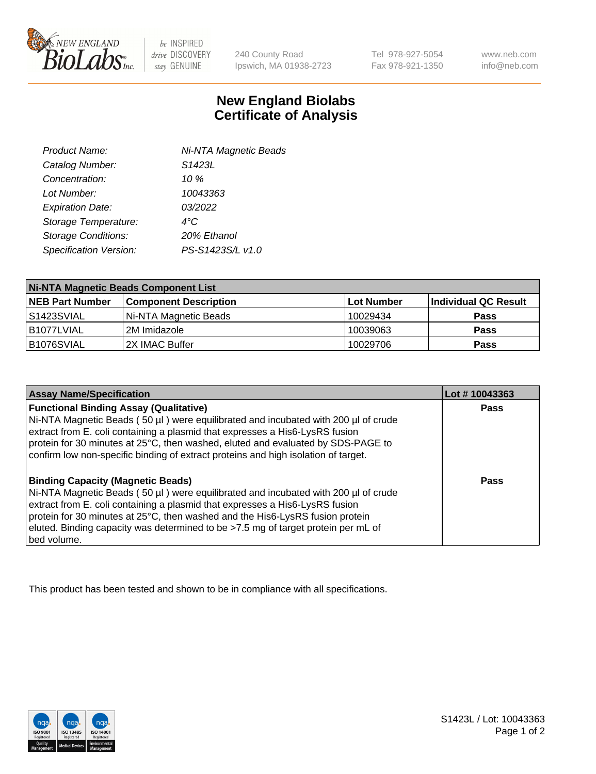

be INSPIRED drive DISCOVERY stay GENUINE

240 County Road Ipswich, MA 01938-2723 Tel 978-927-5054 Fax 978-921-1350

www.neb.com info@neb.com

## **New England Biolabs Certificate of Analysis**

| Product Name:              | Ni-NTA Magnetic Beads |  |
|----------------------------|-----------------------|--|
| Catalog Number:            | S1423L                |  |
| Concentration:             | 10%                   |  |
| Lot Number:                | 10043363              |  |
| <b>Expiration Date:</b>    | 03/2022               |  |
| Storage Temperature:       | $4^{\circ}$ C         |  |
| <b>Storage Conditions:</b> | 20% Ethanol           |  |
| Specification Version:     | PS-S1423S/L v1.0      |  |
|                            |                       |  |

| <b>Ni-NTA Magnetic Beads Component List</b> |                              |                   |                      |  |
|---------------------------------------------|------------------------------|-------------------|----------------------|--|
| <b>NEB Part Number</b>                      | <b>Component Description</b> | <b>Lot Number</b> | Individual QC Result |  |
| IS1423SVIAL                                 | Ni-NTA Magnetic Beads        | 10029434          | <b>Pass</b>          |  |
| B1077LVIAL                                  | 2M Imidazole                 | 10039063          | <b>Pass</b>          |  |
| B1076SVIAL                                  | 2X IMAC Buffer               | 10029706          | <b>Pass</b>          |  |

| <b>Assay Name/Specification</b>                                                                                                                                                                                                                                                                                                                                                                     | Lot #10043363 |
|-----------------------------------------------------------------------------------------------------------------------------------------------------------------------------------------------------------------------------------------------------------------------------------------------------------------------------------------------------------------------------------------------------|---------------|
| <b>Functional Binding Assay (Qualitative)</b><br>Ni-NTA Magnetic Beads (50 µl) were equilibrated and incubated with 200 µl of crude<br>extract from E. coli containing a plasmid that expresses a His6-LysRS fusion<br>protein for 30 minutes at 25°C, then washed, eluted and evaluated by SDS-PAGE to<br>confirm low non-specific binding of extract proteins and high isolation of target.       | <b>Pass</b>   |
| <b>Binding Capacity (Magnetic Beads)</b><br>Ni-NTA Magnetic Beads (50 µl) were equilibrated and incubated with 200 µl of crude<br>extract from E. coli containing a plasmid that expresses a His6-LysRS fusion<br>protein for 30 minutes at 25°C, then washed and the His6-LysRS fusion protein<br>eluted. Binding capacity was determined to be >7.5 mg of target protein per mL of<br>bed volume. | Pass          |

This product has been tested and shown to be in compliance with all specifications.